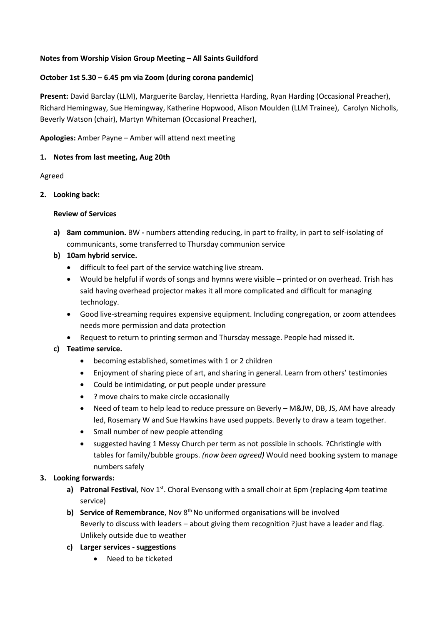### **Notes from Worship Vision Group Meeting – All Saints Guildford**

#### **October 1st 5.30 – 6.45 pm via Zoom (during corona pandemic)**

**Present:** David Barclay (LLM), Marguerite Barclay, Henrietta Harding, Ryan Harding (Occasional Preacher), Richard Hemingway, Sue Hemingway, Katherine Hopwood, Alison Moulden (LLM Trainee), Carolyn Nicholls, Beverly Watson (chair), Martyn Whiteman (Occasional Preacher),

### **Apologies:** Amber Payne – Amber will attend next meeting

#### **1. Notes from last meeting, Aug 20th**

#### Agreed

#### **2. Looking back:**

## **Review of Services**

- **a) 8am communion.** BW **-** numbers attending reducing, in part to frailty, in part to self-isolating of communicants, some transferred to Thursday communion service
- **b) 10am hybrid service.**
	- difficult to feel part of the service watching live stream.
	- Would be helpful if words of songs and hymns were visible printed or on overhead. Trish has said having overhead projector makes it all more complicated and difficult for managing technology.
	- Good live-streaming requires expensive equipment. Including congregation, or zoom attendees needs more permission and data protection
	- Request to return to printing sermon and Thursday message. People had missed it.

## **c) Teatime service.**

- becoming established, sometimes with 1 or 2 children
- Enjoyment of sharing piece of art, and sharing in general. Learn from others' testimonies
- Could be intimidating, or put people under pressure
- ? move chairs to make circle occasionally
- Need of team to help lead to reduce pressure on Beverly M&JW, DB, JS, AM have already led, Rosemary W and Sue Hawkins have used puppets. Beverly to draw a team together.
- Small number of new people attending
- suggested having 1 Messy Church per term as not possible in schools. ?Christingle with tables for family/bubble groups. *(now been agreed)* Would need booking system to manage numbers safely

## **3. Looking forwards:**

- **a)** Patronal Festival, Nov 1<sup>st</sup>. Choral Evensong with a small choir at 6pm (replacing 4pm teatime service)
- **b) Service of Remembrance**, Nov 8<sup>th</sup> No uniformed organisations will be involved Beverly to discuss with leaders – about giving them recognition ?just have a leader and flag. Unlikely outside due to weather
- **c) Larger services - suggestions**
	- Need to be ticketed